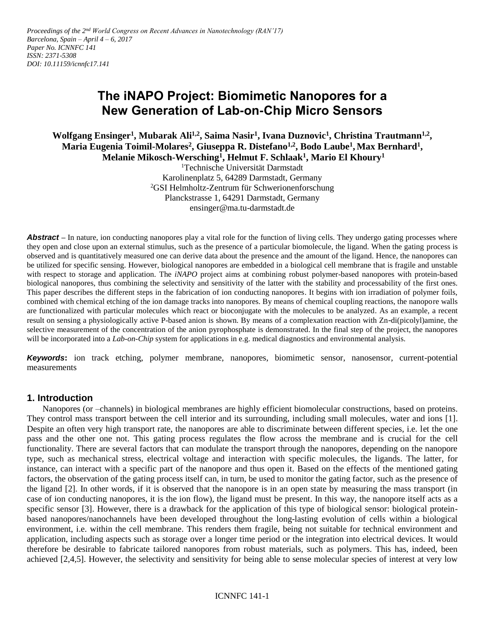# **The iNAPO Project: Biomimetic Nanopores for a New Generation of Lab-on-Chip Micro Sensors**

**Wolfgang Ensinger<sup>1</sup> , Mubarak Ali1,2 , Saima Nasir<sup>1</sup> , Ivana Duznovic<sup>1</sup> , Christina Trautmann1,2 , Maria Eugenia Toimil-Molares<sup>2</sup> , Giuseppa R. Distefano1,2 , Bodo Laube<sup>1</sup> , Max Bernhard<sup>1</sup> , Melanie Mikosch-Wersching<sup>1</sup> , Helmut F. Schlaak<sup>1</sup> , Mario El Khoury<sup>1</sup>**

<sup>1</sup>Technische Universität Darmstadt Karolinenplatz 5, 64289 Darmstadt, Germany <sup>2</sup>GSI Helmholtz-Zentrum für Schwerionenforschung Planckstrasse 1, 64291 Darmstadt, Germany ensinger@ma.tu-darmstadt.de

**Abstract** – In nature, ion conducting nanopores play a vital role for the function of living cells. They undergo gating processes where they open and close upon an external stimulus, such as the presence of a particular biomolecule, the ligand. When the gating process is observed and is quantitatively measured one can derive data about the presence and the amount of the ligand. Hence, the nanopores can be utilized for specific sensing. However, biological nanopores are embedded in a biological cell membrane that is fragile and unstable with respect to storage and application. The *iNAPO* project aims at combining robust polymer-based nanopores with protein-based biological nanopores, thus combining the selectivity and sensitivity of the latter with the stability and processability of the first ones. This paper describes the different steps in the fabrication of ion conducting nanopores. It begins with ion irradiation of polymer foils, combined with chemical etching of the ion damage tracks into nanopores. By means of chemical coupling reactions, the nanopore walls are functionalized with particular molecules which react or bioconjugate with the molecules to be analyzed. As an example, a recent result on sensing a physiologically active P-based anion is shown. By means of a complexation reaction with Zn-di(picolyl)amine, the selective measurement of the concentration of the anion pyrophosphate is demonstrated. In the final step of the project, the nanopores will be incorporated into a *Lab-on-Chip* system for applications in e.g. medical diagnostics and environmental analysis.

*Keywords***:** ion track etching, polymer membrane, nanopores, biomimetic sensor, nanosensor, current-potential measurements

## **1. Introduction**

Nanopores (or –channels) in biological membranes are highly efficient biomolecular constructions, based on proteins. They control mass transport between the cell interior and its surrounding, including small molecules, water and ions [1]. Despite an often very high transport rate, the nanopores are able to discriminate between different species, i.e. let the one pass and the other one not. This gating process regulates the flow across the membrane and is crucial for the cell functionality. There are several factors that can modulate the transport through the nanopores, depending on the nanopore type, such as mechanical stress, electrical voltage and interaction with specific molecules, the ligands. The latter, for instance, can interact with a specific part of the nanopore and thus open it. Based on the effects of the mentioned gating factors, the observation of the gating process itself can, in turn, be used to monitor the gating factor, such as the presence of the ligand [2]. In other words, if it is observed that the nanopore is in an open state by measuring the mass transport (in case of ion conducting nanopores, it is the ion flow), the ligand must be present. In this way, the nanopore itself acts as a specific sensor [3]. However, there is a drawback for the application of this type of biological sensor: biological proteinbased nanopores/nanochannels have been developed throughout the long-lasting evolution of cells within a biological environment, i.e. within the cell membrane. This renders them fragile, being not suitable for technical environment and application, including aspects such as storage over a longer time period or the integration into electrical devices. It would therefore be desirable to fabricate tailored nanopores from robust materials, such as polymers. This has, indeed, been achieved [2,4,5]. However, the selectivity and sensitivity for being able to sense molecular species of interest at very low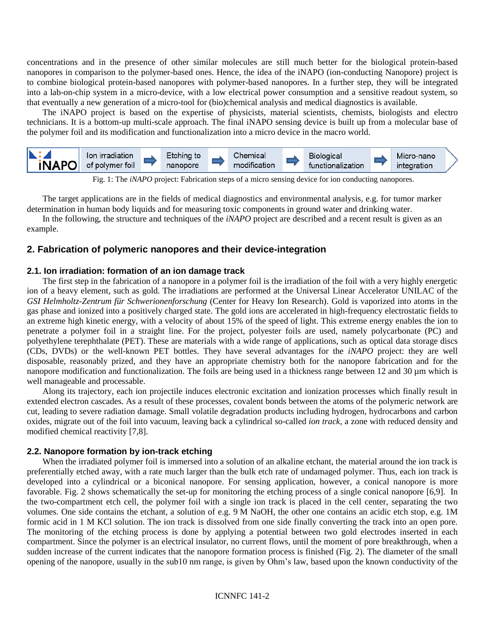concentrations and in the presence of other similar molecules are still much better for the biological protein-based nanopores in comparison to the polymer-based ones. Hence, the idea of the iNAPO (ion-conducting Nanopore) project is to combine biological protein-based nanopores with polymer-based nanopores. In a further step, they will be integrated into a lab-on-chip system in a micro-device, with a low electrical power consumption and a sensitive readout system, so that eventually a new generation of a micro-tool for (bio)chemical analysis and medical diagnostics is available.

The iNAPO project is based on the expertise of physicists, material scientists, chemists, biologists and electro technicians. It is a bottom-up multi-scale approach. The final iNAPO sensing device is built up from a molecular base of the polymer foil and its modification and functionalization into a micro device in the macro world.



Fig. 1: The *iNAPO* project: Fabrication steps of a micro sensing device for ion conducting nanopores.

The target applications are in the fields of medical diagnostics and environmental analysis, e.g. for tumor marker determination in human body liquids and for measuring toxic components in ground water and drinking water.

In the following, the structure and techniques of the *iNAPO* project are described and a recent result is given as an example.

# **2. Fabrication of polymeric nanopores and their device-integration**

#### **2.1. Ion irradiation: formation of an ion damage track**

The first step in the fabrication of a nanopore in a polymer foil is the irradiation of the foil with a very highly energetic ion of a heavy element, such as gold. The irradiations are performed at the Universal Linear Accelerator UNILAC of the *GSI Helmholtz-Zentrum für Schwerionenforschung* (Center for Heavy Ion Research). Gold is vaporized into atoms in the gas phase and ionized into a positively charged state. The gold ions are accelerated in high-frequency electrostatic fields to an extreme high kinetic energy, with a velocity of about 15% of the speed of light. This extreme energy enables the ion to penetrate a polymer foil in a straight line. For the project, polyester foils are used, namely polycarbonate (PC) and polyethylene terephthalate (PET). These are materials with a wide range of applications, such as optical data storage discs (CDs, DVDs) or the well-known PET bottles. They have several advantages for the *iNAPO* project: they are well disposable, reasonably prized, and they have an appropriate chemistry both for the nanopore fabrication and for the nanopore modification and functionalization. The foils are being used in a thickness range between  $12$  and  $30 \,\mu$ m which is well manageable and processable.

Along its trajectory, each ion projectile induces electronic excitation and ionization processes which finally result in extended electron cascades. As a result of these processes, covalent bonds between the atoms of the polymeric network are cut, leading to severe radiation damage. Small volatile degradation products including hydrogen, hydrocarbons and carbon oxides, migrate out of the foil into vacuum, leaving back a cylindrical so-called *ion track*, a zone with reduced density and modified chemical reactivity [7,8].

## **2.2. Nanopore formation by ion-track etching**

When the irradiated polymer foil is immersed into a solution of an alkaline etchant, the material around the ion track is preferentially etched away, with a rate much larger than the bulk etch rate of undamaged polymer. Thus, each ion track is developed into a cylindrical or a biconical nanopore. For sensing application, however, a conical nanopore is more favorable. Fig. 2 shows schematically the set-up for monitoring the etching process of a single conical nanopore [6,9]. In the two-compartment etch cell, the polymer foil with a single ion track is placed in the cell center, separating the two volumes. One side contains the etchant, a solution of e.g. 9 M NaOH, the other one contains an acidic etch stop, e.g. 1M formic acid in 1 M KCl solution. The ion track is dissolved from one side finally converting the track into an open pore. The monitoring of the etching process is done by applying a potential between two gold electrodes inserted in each compartment. Since the polymer is an electrical insulator, no current flows, until the moment of pore breakthrough, when a sudden increase of the current indicates that the nanopore formation process is finished (Fig. 2). The diameter of the small opening of the nanopore, usually in the sub10 nm range, is given by Ohm's law, based upon the known conductivity of the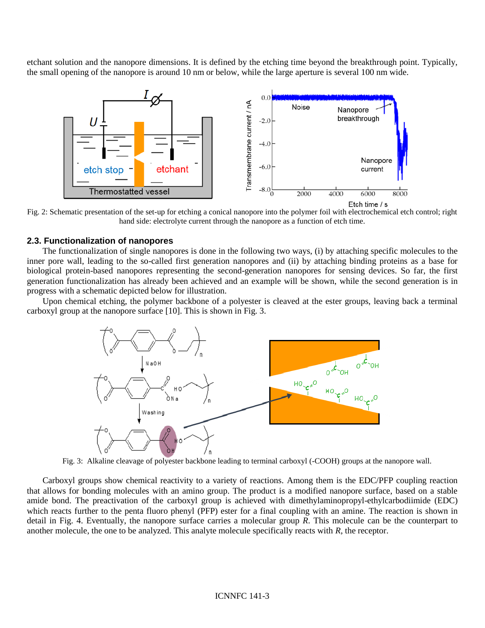etchant solution and the nanopore dimensions. It is defined by the etching time beyond the breakthrough point. Typically, the small opening of the nanopore is around 10 nm or below, while the large aperture is several 100 nm wide.



Fig. 2: Schematic presentation of the set-up for etching a conical nanopore into the polymer foil with electrochemical etch control; right hand side: electrolyte current through the nanopore as a function of etch time.

#### **2.3. Functionalization of nanopores**

The functionalization of single nanopores is done in the following two ways, (i) by attaching specific molecules to the inner pore wall, leading to the so-called first generation nanopores and (ii) by attaching binding proteins as a base for biological protein-based nanopores representing the second-generation nanopores for sensing devices. So far, the first generation functionalization has already been achieved and an example will be shown, while the second generation is in progress with a schematic depicted below for illustration.

Upon chemical etching, the polymer backbone of a polyester is cleaved at the ester groups, leaving back a terminal carboxyl group at the nanopore surface [10]. This is shown in Fig. 3.



Fig. 3: Alkaline cleavage of polyester backbone leading to terminal carboxyl (-COOH) groups at the nanopore wall.

Carboxyl groups show chemical reactivity to a variety of reactions. Among them is the EDC/PFP coupling reaction that allows for bonding molecules with an amino group. The product is a modified nanopore surface, based on a stable amide bond. The preactivation of the carboxyl group is achieved with dimethylaminopropyl-ethylcarbodiimide (EDC) which reacts further to the penta fluoro phenyl (PFP) ester for a final coupling with an amine. The reaction is shown in detail in Fig. 4. Eventually, the nanopore surface carries a molecular group *R*. This molecule can be the counterpart to another molecule, the one to be analyzed. This analyte molecule specifically reacts with *R*, the receptor.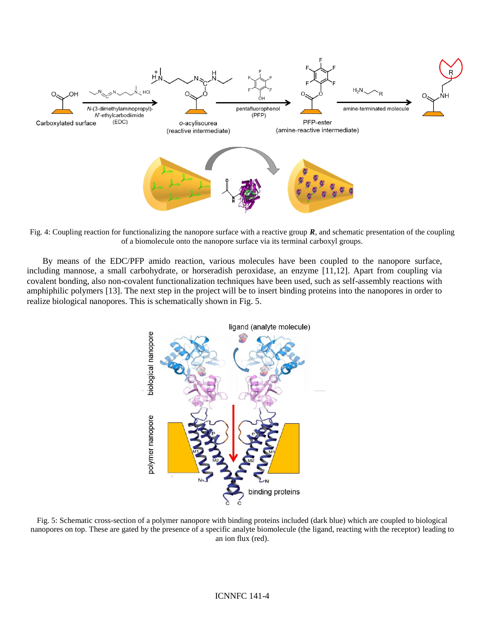

Fig. 4: Coupling reaction for functionalizing the nanopore surface with a reactive group **R**, and schematic presentation of the coupling of a biomolecule onto the nanopore surface via its terminal carboxyl groups.

By means of the EDC/PFP amido reaction, various molecules have been coupled to the nanopore surface, including mannose, a small carbohydrate, or horseradish peroxidase, an enzyme [11,12]. Apart from coupling via covalent bonding, also non-covalent functionalization techniques have been used, such as self-assembly reactions with amphiphilic polymers [13]. The next step in the project will be to insert binding proteins into the nanopores in order to realize biological nanopores. This is schematically shown in Fig. 5.



Fig. 5: Schematic cross-section of a polymer nanopore with binding proteins included (dark blue) which are coupled to biological nanopores on top. These are gated by the presence of a specific analyte biomolecule (the ligand, reacting with the receptor) leading to an ion flux (red).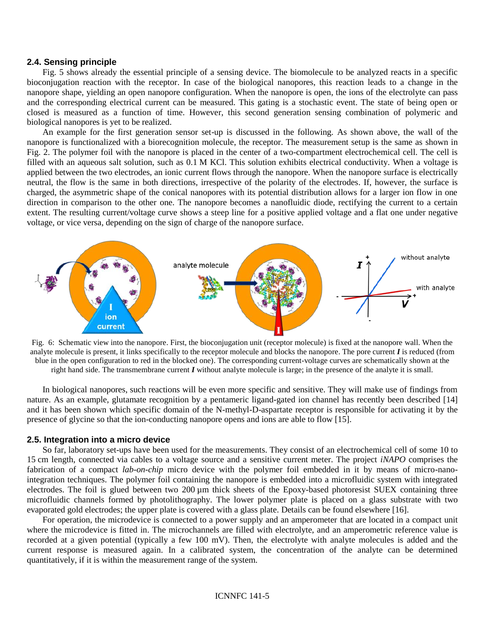#### **2.4. Sensing principle**

Fig. 5 shows already the essential principle of a sensing device. The biomolecule to be analyzed reacts in a specific bioconjugation reaction with the receptor. In case of the biological nanopores, this reaction leads to a change in the nanopore shape, yielding an open nanopore configuration. When the nanopore is open, the ions of the electrolyte can pass and the corresponding electrical current can be measured. This gating is a stochastic event. The state of being open or closed is measured as a function of time. However, this second generation sensing combination of polymeric and biological nanopores is yet to be realized.

An example for the first generation sensor set-up is discussed in the following. As shown above, the wall of the nanopore is functionalized with a biorecognition molecule, the receptor. The measurement setup is the same as shown in Fig. 2. The polymer foil with the nanopore is placed in the center of a two-compartment electrochemical cell. The cell is filled with an aqueous salt solution, such as 0.1 M KCl. This solution exhibits electrical conductivity. When a voltage is applied between the two electrodes, an ionic current flows through the nanopore. When the nanopore surface is electrically neutral, the flow is the same in both directions, irrespective of the polarity of the electrodes. If, however, the surface is charged, the asymmetric shape of the conical nanopores with its potential distribution allows for a larger ion flow in one direction in comparison to the other one. The nanopore becomes a nanofluidic diode, rectifying the current to a certain extent. The resulting current/voltage curve shows a steep line for a positive applied voltage and a flat one under negative voltage, or vice versa, depending on the sign of charge of the nanopore surface.



Fig. 6: Schematic view into the nanopore. First, the bioconjugation unit (receptor molecule) is fixed at the nanopore wall. When the analyte molecule is present, it links specifically to the receptor molecule and blocks the nanopore. The pore current *I* is reduced (from blue in the open configuration to red in the blocked one). The corresponding current-voltage curves are schematically shown at the right hand side. The transmembrane current *I* without analyte molecule is large; in the presence of the analyte it is small.

In biological nanopores, such reactions will be even more specific and sensitive. They will make use of findings from nature. As an example, glutamate recognition by a pentameric ligand-gated ion channel has recently been described [14] and it has been shown which specific domain of the N-methyl-D-aspartate receptor is responsible for activating it by the presence of glycine so that the ion-conducting nanopore opens and ions are able to flow [15].

#### **2.5. Integration into a micro device**

So far, laboratory set-ups have been used for the measurements. They consist of an electrochemical cell of some 10 to 15 cm length, connected via cables to a voltage source and a sensitive current meter. The project *iNAPO* comprises the fabrication of a compact *lab-on-chip* micro device with the polymer foil embedded in it by means of micro-nanointegration techniques. The polymer foil containing the nanopore is embedded into a microfluidic system with integrated electrodes. The foil is glued between two 200 µm thick sheets of the Epoxy-based photoresist SUEX containing three microfluidic channels formed by photolithography. The lower polymer plate is placed on a glass substrate with two evaporated gold electrodes; the upper plate is covered with a glass plate. Details can be found elsewhere [16].

For operation, the microdevice is connected to a power supply and an amperometer that are located in a compact unit where the microdevice is fitted in. The microchannels are filled with electrolyte, and an amperometric reference value is recorded at a given potential (typically a few 100 mV). Then, the electrolyte with analyte molecules is added and the current response is measured again. In a calibrated system, the concentration of the analyte can be determined quantitatively, if it is within the measurement range of the system.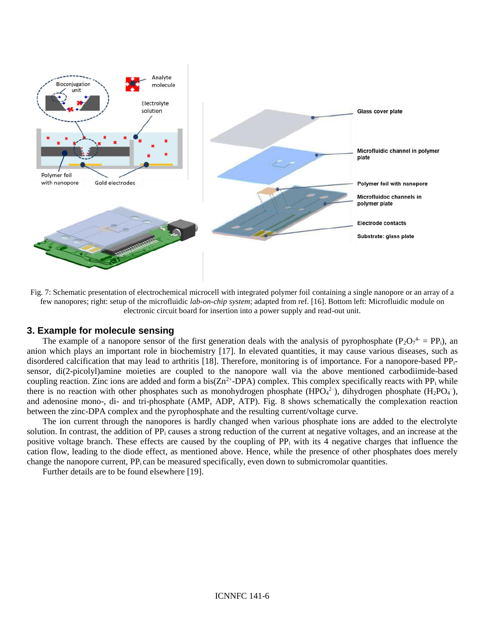

Fig. 7: Schematic presentation of electrochemical microcell with integrated polymer foil containing a single nanopore or an array of a few nanopores; right: setup of the microfluidic *lab-on-chip system*; adapted from ref. [16]. Bottom left: Microfluidic module on electronic circuit board for insertion into a power supply and read-out unit.

#### **3. Example for molecule sensing**

The example of a nanopore sensor of the first generation deals with the analysis of pyrophosphate ( $P_2O_7^4 = PP_i$ ), an anion which plays an important role in biochemistry [17]. In elevated quantities, it may cause various diseases, such as disordered calcification that may lead to arthritis [18]. Therefore, monitoring is of importance. For a nanopore-based PPisensor, di(2-picolyl)amine moieties are coupled to the nanopore wall via the above mentioned carbodiimide-based coupling reaction. Zinc ions are added and form a  $bis(Zn^{2+}-DPA)$  complex. This complex specifically reacts with PP<sub>i</sub> while there is no reaction with other phosphates such as monohydrogen phosphate (HPO<sub>4</sub><sup>2-</sup>), dihydrogen phosphate (H<sub>2</sub>PO<sub>4</sub><sup>-</sup>), and adenosine mono-, di- and tri-phosphate (AMP, ADP, ATP). Fig. 8 shows schematically the complexation reaction between the zinc-DPA complex and the pyrophosphate and the resulting current/voltage curve.

The ion current through the nanopores is hardly changed when various phosphate ions are added to the electrolyte solution. In contrast, the addition of PP<sub>i</sub> causes a strong reduction of the current at negative voltages, and an increase at the positive voltage branch. These effects are caused by the coupling of  $PP_i$  with its 4 negative charges that influence the cation flow, leading to the diode effect, as mentioned above. Hence, while the presence of other phosphates does merely change the nanopore current, PP<sub>i</sub> can be measured specifically, even down to submicromolar quantities.

Further details are to be found elsewhere [19].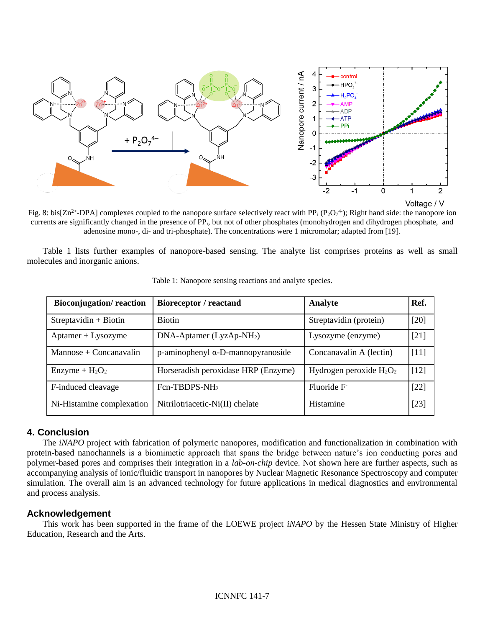

Fig. 8: bis[ $Zn^{2+}$ -DPA] complexes coupled to the nanopore surface selectively react with PP<sub>i</sub> (P<sub>2</sub>O<sub>7</sub><sup>4</sup>); Right hand side: the nanopore ion currents are significantly changed in the presence of PPi, but not of other phosphates (monohydrogen and dihydrogen phosphate, and adenosine mono-, di- and tri-phosphate). The concentrations were 1 micromolar; adapted from [19].

Table 1 lists further examples of nanopore-based sensing. The analyte list comprises proteins as well as small molecules and inorganic anions.

| <b>Bioconjugation/reaction</b> | Bioreceptor / reactand                       | Analyte                    | Ref.   |
|--------------------------------|----------------------------------------------|----------------------------|--------|
| $Streptavidin + Biotin$        | <b>Biotin</b>                                | Streptavidin (protein)     | [20]   |
| $Aptamer + Lysozyme$           | $DNA-Aptamer (LyzAp-NH2)$                    | Lysozyme (enzyme)          | [21]   |
| $Mannose + Concanavalin$       | $p$ -aminophenyl $\alpha$ -D-mannopyranoside | Concanavalin A (lectin)    | [11]   |
| $Enzyme + H2O2$                | Horseradish peroxidase HRP (Enzyme)          | Hydrogen peroxide $H_2O_2$ | [12]   |
| F-induced cleavage             | Fcn-TBDPS-NH <sub>2</sub>                    | Fluoride F                 | $[22]$ |
| Ni-Histamine complexation      | Nitrilotriacetic-Ni(II) chelate              | Histamine                  | [23]   |

Table 1: Nanopore sensing reactions and analyte species.

## **4. Conclusion**

The *iNAPO* project with fabrication of polymeric nanopores, modification and functionalization in combination with protein-based nanochannels is a biomimetic approach that spans the bridge between nature's ion conducting pores and polymer-based pores and comprises their integration in a *lab-on-chip* device. Not shown here are further aspects, such as accompanying analysis of ionic/fluidic transport in nanopores by Nuclear Magnetic Resonance Spectroscopy and computer simulation. The overall aim is an advanced technology for future applications in medical diagnostics and environmental and process analysis.

# **Acknowledgement**

This work has been supported in the frame of the LOEWE project *iNAPO* by the Hessen State Ministry of Higher Education, Research and the Arts.